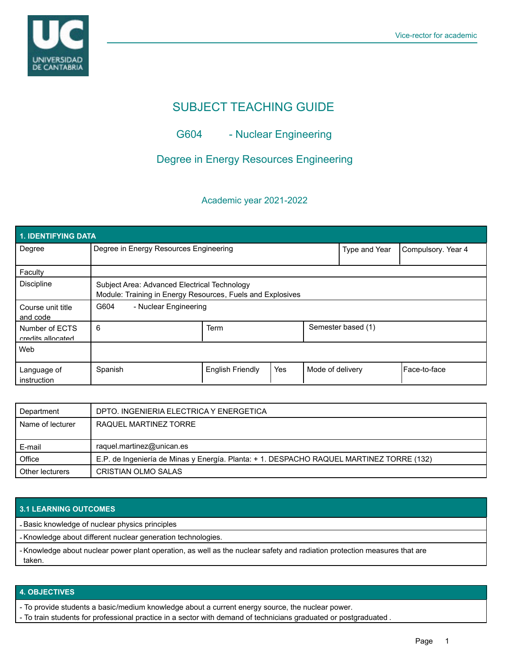

# SUBJECT TEACHING GUIDE

# G604 - Nuclear Engineering

# Degree in Energy Resources Engineering

## Academic year 2021-2022

| <b>1. IDENTIFYING DATA</b>          |                                                                                                            |                         |     |                    |                    |              |  |  |  |
|-------------------------------------|------------------------------------------------------------------------------------------------------------|-------------------------|-----|--------------------|--------------------|--------------|--|--|--|
| Degree                              | Degree in Energy Resources Engineering                                                                     |                         |     | Type and Year      | Compulsory. Year 4 |              |  |  |  |
| Faculty                             |                                                                                                            |                         |     |                    |                    |              |  |  |  |
| <b>Discipline</b>                   | Subject Area: Advanced Electrical Technology<br>Module: Training in Energy Resources, Fuels and Explosives |                         |     |                    |                    |              |  |  |  |
| Course unit title<br>and code       | G604<br>- Nuclear Engineering                                                                              |                         |     |                    |                    |              |  |  |  |
| Number of ECTS<br>credits allocated | 6                                                                                                          | Term                    |     | Semester based (1) |                    |              |  |  |  |
| Web                                 |                                                                                                            |                         |     |                    |                    |              |  |  |  |
| Language of<br>instruction          | Spanish                                                                                                    | <b>English Friendly</b> | Yes | Mode of delivery   |                    | Face-to-face |  |  |  |

| Department       | DPTO. INGENIERIA ELECTRICA Y ENERGETICA                                                  |  |  |
|------------------|------------------------------------------------------------------------------------------|--|--|
| Name of lecturer | RAQUEL MARTINEZ TORRE                                                                    |  |  |
|                  |                                                                                          |  |  |
|                  |                                                                                          |  |  |
| E-mail           | raquel.martinez@unican.es                                                                |  |  |
| Office           | E.P. de Ingeniería de Minas y Energía. Planta: + 1. DESPACHO RAQUEL MARTINEZ TORRE (132) |  |  |

### **3.1 LEARNING OUTCOMES**

- Basic knowledge of nuclear physics principles

- Knowledge about different nuclear generation technologies.

- Knowledge about nuclear power plant operation, as well as the nuclear safety and radiation protection measures that are taken.

### **4. OBJECTIVES**

- To provide students a basic/medium knowledge about a current energy source, the nuclear power.

- To train students for professional practice in a sector with demand of technicians graduated or postgraduated .